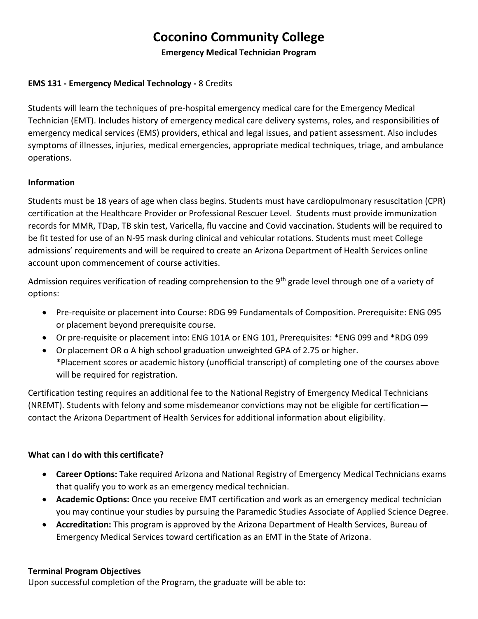# **Coconino Community College**

**Emergency Medical Technician Program**

## **EMS 131 - Emergency Medical Technology -** 8 Credits

Students will learn the techniques of pre-hospital emergency medical care for the Emergency Medical Technician (EMT). Includes history of emergency medical care delivery systems, roles, and responsibilities of emergency medical services (EMS) providers, ethical and legal issues, and patient assessment. Also includes symptoms of illnesses, injuries, medical emergencies, appropriate medical techniques, triage, and ambulance operations.

### **Information**

Students must be 18 years of age when class begins. Students must have cardiopulmonary resuscitation (CPR) certification at the Healthcare Provider or Professional Rescuer Level. Students must provide immunization records for MMR, TDap, TB skin test, Varicella, flu vaccine and Covid vaccination. Students will be required to be fit tested for use of an N-95 mask during clinical and vehicular rotations. Students must meet College admissions' requirements and will be required to create an Arizona Department of Health Services online account upon commencement of course activities.

Admission requires verification of reading comprehension to the 9<sup>th</sup> grade level through one of a variety of options:

- Pre-requisite or placement into Course: RDG 99 Fundamentals of Composition. Prerequisite: ENG 095 or placement beyond prerequisite course.
- Or pre-requisite or placement into: ENG 101A or ENG 101, Prerequisites: \*ENG 099 and \*RDG 099
- Or placement OR o A high school graduation unweighted GPA of 2.75 or higher. \*Placement scores or academic history (unofficial transcript) of completing one of the courses above will be required for registration.

Certification testing requires an additional fee to the National Registry of Emergency Medical Technicians (NREMT). Students with felony and some misdemeanor convictions may not be eligible for certification contact the Arizona Department of Health Services for additional information about eligibility.

#### **What can I do with this certificate?**

- **Career Options:** Take required Arizona and National Registry of Emergency Medical Technicians exams that qualify you to work as an emergency medical technician.
- **Academic Options:** Once you receive EMT certification and work as an emergency medical technician you may continue your studies by pursuing the Paramedic Studies Associate of Applied Science Degree.
- **Accreditation:** This program is approved by the Arizona Department of Health Services, Bureau of Emergency Medical Services toward certification as an EMT in the State of Arizona.

#### **Terminal Program Objectives**

Upon successful completion of the Program, the graduate will be able to: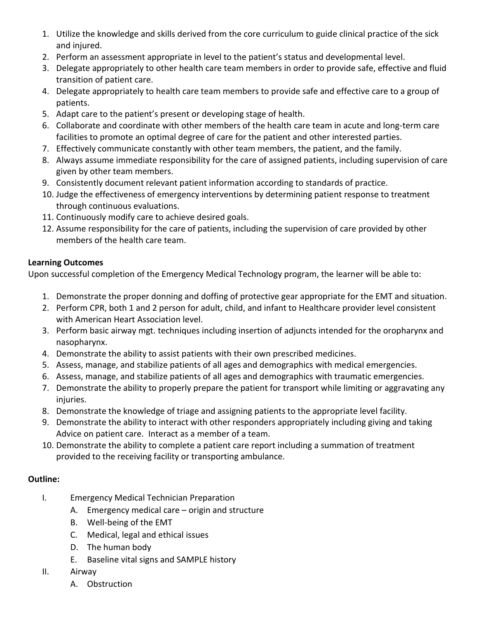- 1. Utilize the knowledge and skills derived from the core curriculum to guide clinical practice of the sick and injured.
- 2. Perform an assessment appropriate in level to the patient's status and developmental level.
- 3. Delegate appropriately to other health care team members in order to provide safe, effective and fluid transition of patient care.
- 4. Delegate appropriately to health care team members to provide safe and effective care to a group of patients.
- 5. Adapt care to the patient's present or developing stage of health.
- 6. Collaborate and coordinate with other members of the health care team in acute and long-term care facilities to promote an optimal degree of care for the patient and other interested parties.
- 7. Effectively communicate constantly with other team members, the patient, and the family.
- 8. Always assume immediate responsibility for the care of assigned patients, including supervision of care given by other team members.
- 9. Consistently document relevant patient information according to standards of practice.
- 10. Judge the effectiveness of emergency interventions by determining patient response to treatment through continuous evaluations.
- 11. Continuously modify care to achieve desired goals.
- 12. Assume responsibility for the care of patients, including the supervision of care provided by other members of the health care team.

## **Learning Outcomes**

Upon successful completion of the Emergency Medical Technology program, the learner will be able to:

- 1. Demonstrate the proper donning and doffing of protective gear appropriate for the EMT and situation.
- 2. Perform CPR, both 1 and 2 person for adult, child, and infant to Healthcare provider level consistent with American Heart Association level.
- 3. Perform basic airway mgt. techniques including insertion of adjuncts intended for the oropharynx and nasopharynx.
- 4. Demonstrate the ability to assist patients with their own prescribed medicines.
- 5. Assess, manage, and stabilize patients of all ages and demographics with medical emergencies.
- 6. Assess, manage, and stabilize patients of all ages and demographics with traumatic emergencies.
- 7. Demonstrate the ability to properly prepare the patient for transport while limiting or aggravating any injuries.
- 8. Demonstrate the knowledge of triage and assigning patients to the appropriate level facility.
- 9. Demonstrate the ability to interact with other responders appropriately including giving and taking Advice on patient care. Interact as a member of a team.
- 10. Demonstrate the ability to complete a patient care report including a summation of treatment provided to the receiving facility or transporting ambulance.

# **Outline:**

- I. Emergency Medical Technician Preparation
	- A. Emergency medical care origin and structure
	- B. Well-being of the EMT
	- C. Medical, legal and ethical issues
	- D. The human body
	- E. Baseline vital signs and SAMPLE history
- II. Airway
	- A. Obstruction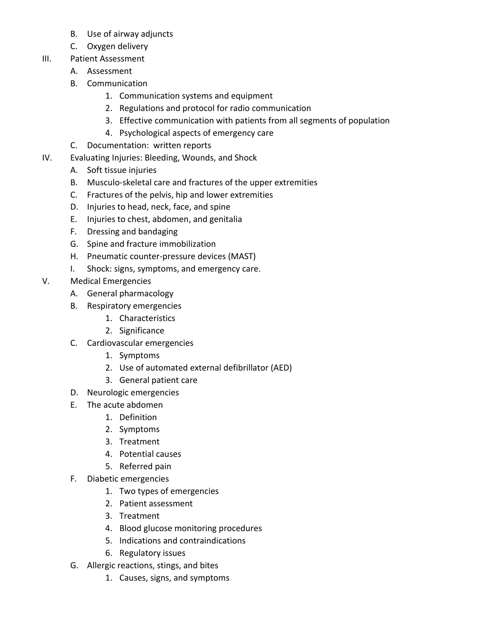- B. Use of airway adjuncts
- C. Oxygen delivery
- III. Patient Assessment
	- A. Assessment
	- B. Communication
		- 1. Communication systems and equipment
		- 2. Regulations and protocol for radio communication
		- 3. Effective communication with patients from all segments of population
		- 4. Psychological aspects of emergency care
	- C. Documentation: written reports
- IV. Evaluating Injuries: Bleeding, Wounds, and Shock
	- A. Soft tissue injuries
	- B. Musculo-skeletal care and fractures of the upper extremities
	- C. Fractures of the pelvis, hip and lower extremities
	- D. Injuries to head, neck, face, and spine
	- E. Injuries to chest, abdomen, and genitalia
	- F. Dressing and bandaging
	- G. Spine and fracture immobilization
	- H. Pneumatic counter-pressure devices (MAST)
	- I. Shock: signs, symptoms, and emergency care.
- V. Medical Emergencies
	- A. General pharmacology
	- B. Respiratory emergencies
		- 1. Characteristics
		- 2. Significance
	- C. Cardiovascular emergencies
		- 1. Symptoms
		- 2. Use of automated external defibrillator (AED)
		- 3. General patient care
	- D. Neurologic emergencies
	- E. The acute abdomen
		- 1. Definition
		- 2. Symptoms
		- 3. Treatment
		- 4. Potential causes
		- 5. Referred pain
	- F. Diabetic emergencies
		- 1. Two types of emergencies
		- 2. Patient assessment
		- 3. Treatment
		- 4. Blood glucose monitoring procedures
		- 5. Indications and contraindications
		- 6. Regulatory issues
	- G. Allergic reactions, stings, and bites
		- 1. Causes, signs, and symptoms